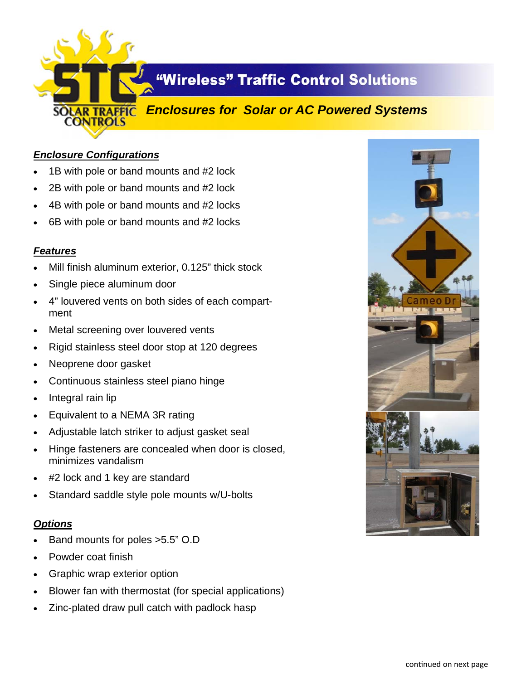

# **"Wireless" Traffic Control Solutions**

## *Enclosures for Solar or AC Powered Systems*

### *Enclosure Configurations*

- 1B with pole or band mounts and #2 lock
- 2B with pole or band mounts and #2 lock
- 4B with pole or band mounts and #2 locks
- 6B with pole or band mounts and #2 locks

#### *Features*

- Mill finish aluminum exterior, 0.125" thick stock
- Single piece aluminum door
- 4" louvered vents on both sides of each compartment
- Metal screening over louvered vents
- Rigid stainless steel door stop at 120 degrees
- Neoprene door gasket
- Continuous stainless steel piano hinge
- Integral rain lip
- Equivalent to a NEMA 3R rating
- Adjustable latch striker to adjust gasket seal
- Hinge fasteners are concealed when door is closed, minimizes vandalism
- #2 lock and 1 key are standard
- Standard saddle style pole mounts w/U-bolts

#### *Options*

- Band mounts for poles >5.5" O.D
- Powder coat finish
- Graphic wrap exterior option
- Blower fan with thermostat (for special applications)
- Zinc-plated draw pull catch with padlock hasp